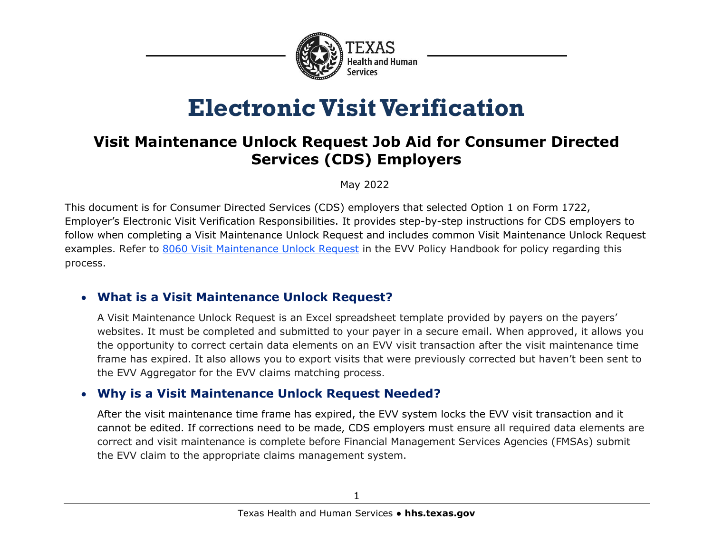

# **Electronic Visit Verification**

# **Visit Maintenance Unlock Request Job Aid for Consumer Directed Services (CDS) Employers**

May 2022

This document is for Consumer Directed Services (CDS) employers that selected Option 1 on Form 1722, Employer's Electronic Visit Verification Responsibilities. It provides step-by-step instructions for CDS employers to follow when completing a Visit Maintenance Unlock Request and includes common Visit Maintenance Unlock Request examples. Refer to [8060 Visit Maintenance Unlock Request](https://www.hhs.texas.gov/handbooks/electronic-visit-verification-policy-handbook/8000-visit-maintenance#8060) in the EVV Policy Handbook for policy regarding this process.

## • **What is a Visit Maintenance Unlock Request?**

A Visit Maintenance Unlock Request is an Excel spreadsheet template provided by payers on the payers' websites. It must be completed and submitted to your payer in a secure email. When approved, it allows you the opportunity to correct certain data elements on an EVV visit transaction after the visit maintenance time frame has expired. It also allows you to export visits that were previously corrected but haven't been sent to the EVV Aggregator for the EVV claims matching process.

## • **Why is a Visit Maintenance Unlock Request Needed?**

After the visit maintenance time frame has expired, the EVV system locks the EVV visit transaction and it cannot be edited. If corrections need to be made, CDS employers must ensure all required data elements are correct and visit maintenance is complete before Financial Management Services Agencies (FMSAs) submit the EVV claim to the appropriate claims management system.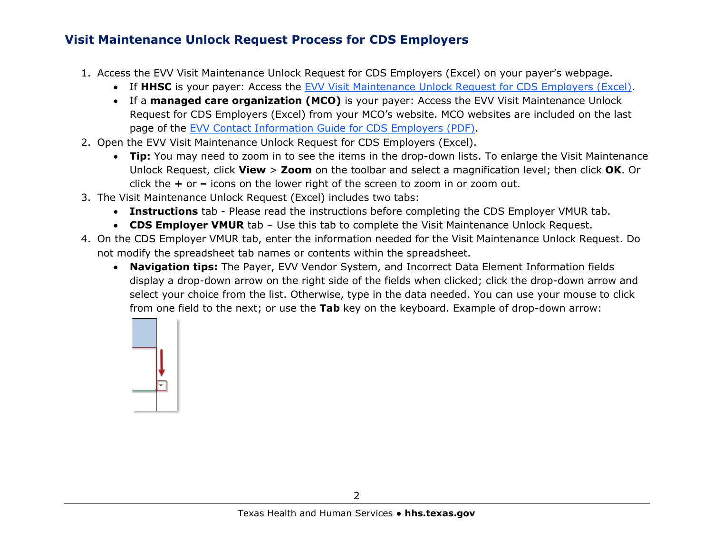#### **Visit Maintenance Unlock Request Process for CDS Employers**

- 1. Access the EVV Visit Maintenance Unlock Request for CDS Employers (Excel) on your payer's webpage.
	- If **HHSC** is your payer: Access the [EVV Visit Maintenance Unlock Request for CDS Employers \(Excel\).](https://www.hhs.texas.gov/sites/default/files/documents/doing-business-with-hhs/providers/long-term-care/evv/evv-visit-maintenance-unlock-request-cds-employers.xlsx)
	- If a **managed care organization (MCO)** is your payer: Access the EVV Visit Maintenance Unlock Request for CDS Employers (Excel) from your MCO's website. MCO websites are included on the last page of the [EVV Contact Information Guide for CDS Employers \(PDF\).](https://www.hhs.texas.gov/sites/default/files/documents/doing-business-with-hhs/providers/long-term-care/evv/cds-evv-contact-information-guide.pdf)
- 2. Open the EVV Visit Maintenance Unlock Request for CDS Employers (Excel).
	- **Tip:** You may need to zoom in to see the items in the drop-down lists. To enlarge the Visit Maintenance Unlock Request, click **View** > **Zoom** on the toolbar and select a magnification level; then click **OK**. Or click the **+** or **–** icons on the lower right of the screen to zoom in or zoom out.
- 3. The Visit Maintenance Unlock Request (Excel) includes two tabs:
	- **Instructions** tab Please read the instructions before completing the CDS Employer VMUR tab.
	- **CDS Employer VMUR** tab Use this tab to complete the Visit Maintenance Unlock Request.
- 4. On the CDS Employer VMUR tab, enter the information needed for the Visit Maintenance Unlock Request. Do not modify the spreadsheet tab names or contents within the spreadsheet.
	- **Navigation tips:** The Payer, EVV Vendor System, and Incorrect Data Element Information fields display a drop-down arrow on the right side of the fields when clicked; click the drop-down arrow and select your choice from the list. Otherwise, type in the data needed. You can use your mouse to click from one field to the next; or use the **Tab** key on the keyboard. Example of drop-down arrow:

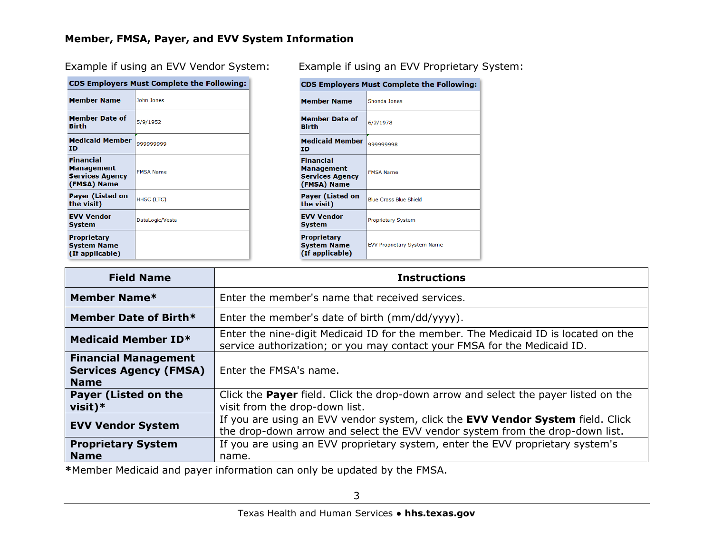#### **Member, FMSA, Payer, and EVV System Information**

CDS Employers Must Complete the Following

|                                                                  | CDS Employers must complete the Following. |
|------------------------------------------------------------------|--------------------------------------------|
| <b>Member Name</b>                                               | John Jones                                 |
| <b>Member Date of</b><br>Birth                                   | 5/9/1952                                   |
| <b>Medicaid Member</b><br>ΙD                                     | 999999999                                  |
| Financial<br>Management<br><b>Services Agency</b><br>(FMSA) Name | <b>FMSA Name</b>                           |
| <b>Payer (Listed on</b><br>the visit)                            | HHSC (LTC)                                 |
| <b>EVV Vendor</b><br>System                                      | DataLogic/Vesta                            |
| <b>Proprietary</b><br><b>System Name</b><br>(If applicable)      |                                            |

Example if using an EVV Vendor System: Example if using an EVV Proprietary System:

| <b>CDS Employers Must Complete the Following:</b>                       |                                    |  |  |  |
|-------------------------------------------------------------------------|------------------------------------|--|--|--|
| <b>Member Name</b>                                                      | Shonda Jones                       |  |  |  |
| <b>Member Date of</b><br>Birth                                          | 6/2/1978                           |  |  |  |
| <b>Medicaid Member</b><br>ΙD                                            | 99999998                           |  |  |  |
| <b>Financial</b><br>Management<br><b>Services Agency</b><br>(FMSA) Name | <b>FMSA Name</b>                   |  |  |  |
| <b>Payer (Listed on</b><br>the visit)                                   | <b>Blue Cross Blue Shield</b>      |  |  |  |
| <b>EVV Vendor</b><br>System                                             | <b>Proprietary System</b>          |  |  |  |
| <b>Proprietary</b><br><b>System Name</b><br>(If applicable)             | <b>EVV Proprietary System Name</b> |  |  |  |

| <b>Field Name</b>                                                           | <b>Instructions</b>                                                                                                                                              |
|-----------------------------------------------------------------------------|------------------------------------------------------------------------------------------------------------------------------------------------------------------|
| Member Name*                                                                | Enter the member's name that received services.                                                                                                                  |
| Member Date of Birth*                                                       | Enter the member's date of birth (mm/dd/yyyy).                                                                                                                   |
| <b>Medicaid Member ID*</b>                                                  | Enter the nine-digit Medicaid ID for the member. The Medicaid ID is located on the<br>service authorization; or you may contact your FMSA for the Medicaid ID.   |
| <b>Financial Management</b><br><b>Services Agency (FMSA)</b><br><b>Name</b> | Enter the FMSA's name.                                                                                                                                           |
| <b>Payer (Listed on the</b><br>$visit)*$                                    | Click the <b>Payer</b> field. Click the drop-down arrow and select the payer listed on the<br>visit from the drop-down list.                                     |
| <b>EVV Vendor System</b>                                                    | If you are using an EVV vendor system, click the EVV Vendor System field. Click<br>the drop-down arrow and select the EVV vendor system from the drop-down list. |
| <b>Proprietary System</b><br><b>Name</b>                                    | If you are using an EVV proprietary system, enter the EVV proprietary system's<br>name.                                                                          |

**\***Member Medicaid and payer information can only be updated by the FMSA.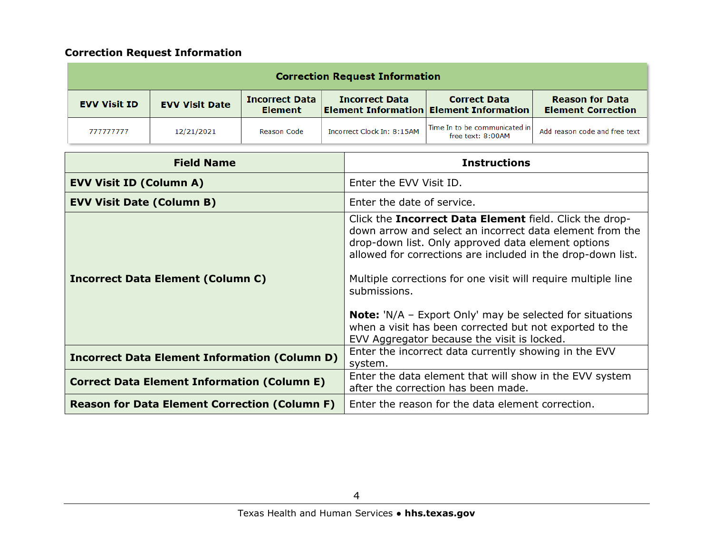#### **Correction Request Information**

|                     |                       |                                         | <b>Correction Request Information</b> |                                                                            |                                                     |
|---------------------|-----------------------|-----------------------------------------|---------------------------------------|----------------------------------------------------------------------------|-----------------------------------------------------|
| <b>EVV Visit ID</b> | <b>EVV Visit Date</b> | <b>Incorrect Data</b><br><b>Element</b> | <b>Incorrect Data</b>                 | <b>Correct Data</b><br><b>Element Information Element Information</b>      | <b>Reason for Data</b><br><b>Element Correction</b> |
| 777777777           | 12/21/2021            | Reason Code                             | Incorrect Clock In: 8:15AM            | $^\dagger$ Time In to be communicated in $^\dagger$<br>free text: $8:00AM$ | Add reason code and free text                       |

| <b>Field Name</b>                                    | <b>Instructions</b>                                                                                                                                                                                                                                                                                                                                                                                                                                                                                      |
|------------------------------------------------------|----------------------------------------------------------------------------------------------------------------------------------------------------------------------------------------------------------------------------------------------------------------------------------------------------------------------------------------------------------------------------------------------------------------------------------------------------------------------------------------------------------|
| <b>EVV Visit ID (Column A)</b>                       | Enter the EVV Visit ID.                                                                                                                                                                                                                                                                                                                                                                                                                                                                                  |
| <b>EVV Visit Date (Column B)</b>                     | Enter the date of service.                                                                                                                                                                                                                                                                                                                                                                                                                                                                               |
| <b>Incorrect Data Element (Column C)</b>             | Click the Incorrect Data Element field. Click the drop-<br>down arrow and select an incorrect data element from the<br>drop-down list. Only approved data element options<br>allowed for corrections are included in the drop-down list.<br>Multiple corrections for one visit will require multiple line<br>submissions.<br><b>Note:</b> $'N/A$ – Export Only' may be selected for situations<br>when a visit has been corrected but not exported to the<br>EVV Aggregator because the visit is locked. |
| <b>Incorrect Data Element Information (Column D)</b> | Enter the incorrect data currently showing in the EVV<br>system.                                                                                                                                                                                                                                                                                                                                                                                                                                         |
| <b>Correct Data Element Information (Column E)</b>   | Enter the data element that will show in the EVV system<br>after the correction has been made.                                                                                                                                                                                                                                                                                                                                                                                                           |
| <b>Reason for Data Element Correction (Column F)</b> | Enter the reason for the data element correction.                                                                                                                                                                                                                                                                                                                                                                                                                                                        |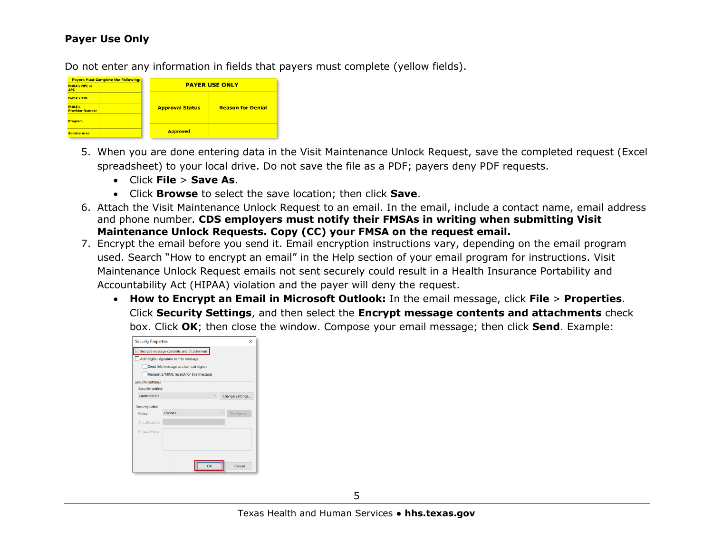#### **Payer Use Only**

Do not enter any information in fields that payers must complete (yellow fields).

| <b>Payers Must Complete the Following:</b> |                        |                          |
|--------------------------------------------|------------------------|--------------------------|
| <b>FMSA's NPI or</b><br><b>API</b>         |                        | <b>PAYER USE ONLY</b>    |
| <b>FMSA's TIN</b>                          |                        |                          |
| <b>FMSA's</b><br><b>Provider Number</b>    | <b>Approval Status</b> | <b>Reason for Denial</b> |
| <b>Program</b>                             |                        |                          |
| <b>Service Area</b>                        | <b>Approved</b>        |                          |

- 5. When you are done entering data in the Visit Maintenance Unlock Request, save the completed request (Excel spreadsheet) to your local drive. Do not save the file as a PDF; payers deny PDF requests.
	- Click **File** > **Save As**.
	- Click **Browse** to select the save location; then click **Save**.
- 6. Attach the Visit Maintenance Unlock Request to an email. In the email, include a contact name, email address and phone number. **CDS employers must notify their FMSAs in writing when submitting Visit Maintenance Unlock Requests. Copy (CC) your FMSA on the request email.**
- 7. Encrypt the email before you send it. Email encryption instructions vary, depending on the email program used. Search "How to encrypt an email" in the Help section of your email program for instructions. Visit Maintenance Unlock Request emails not sent securely could result in a Health Insurance Portability and Accountability Act (HIPAA) violation and the payer will deny the request.
	- **How to Encrypt an Email in Microsoft Outlook:** In the email message, click **File** > **Properties**. Click **Security Settings**, and then select the **Encrypt message contents and attachments** check box. Click **OK**; then close the window. Compose your email message; then click **Send**. Example:

| Encrypt message contents and attachments<br>Add digital signature to this message<br>Send this message as clear text signed<br>Request S/MIME receipt for this message<br><b>Security Settings</b><br>Security setting:<br><automatic><br/>Change Settings<br/><b>Security Label</b><br/><none><br/>Configure<br/>Policy</none></automatic> | <b>Security Properties</b> |  | × |
|---------------------------------------------------------------------------------------------------------------------------------------------------------------------------------------------------------------------------------------------------------------------------------------------------------------------------------------------|----------------------------|--|---|
|                                                                                                                                                                                                                                                                                                                                             |                            |  |   |
|                                                                                                                                                                                                                                                                                                                                             |                            |  |   |
|                                                                                                                                                                                                                                                                                                                                             |                            |  |   |
|                                                                                                                                                                                                                                                                                                                                             |                            |  |   |
|                                                                                                                                                                                                                                                                                                                                             |                            |  |   |
|                                                                                                                                                                                                                                                                                                                                             |                            |  |   |
|                                                                                                                                                                                                                                                                                                                                             |                            |  |   |
|                                                                                                                                                                                                                                                                                                                                             |                            |  |   |
|                                                                                                                                                                                                                                                                                                                                             |                            |  |   |
| Classification:                                                                                                                                                                                                                                                                                                                             |                            |  |   |
| Privacy Mark:                                                                                                                                                                                                                                                                                                                               |                            |  |   |
|                                                                                                                                                                                                                                                                                                                                             |                            |  |   |
|                                                                                                                                                                                                                                                                                                                                             |                            |  |   |
|                                                                                                                                                                                                                                                                                                                                             |                            |  |   |
| Cancel<br>OK                                                                                                                                                                                                                                                                                                                                |                            |  |   |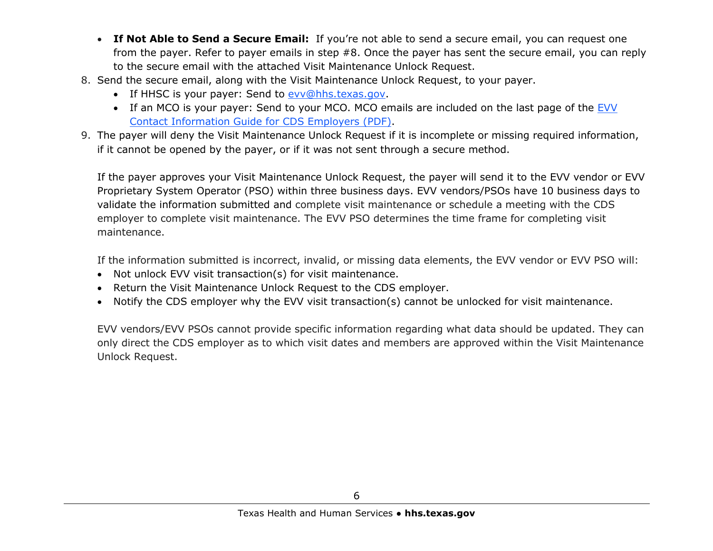- **If Not Able to Send a Secure Email:** If you're not able to send a secure email, you can request one from the payer. Refer to payer emails in step #8. Once the payer has sent the secure email, you can reply to the secure email with the attached Visit Maintenance Unlock Request.
- 8. Send the secure email, along with the Visit Maintenance Unlock Request, to your payer.
	- If HHSC is your payer: Send to [evv@hhs.texas.gov.](mailto:evv@hhs.texas.gov)
	- If an MCO is your payer: Send to your MCO. MCO emails are included on the last page of the EVV [Contact Information Guide for CDS Employers \(PDF\).](https://www.hhs.texas.gov/sites/default/files/documents/doing-business-with-hhs/providers/long-term-care/evv/cds-evv-contact-information-guide.pdf)
- 9. The payer will deny the Visit Maintenance Unlock Request if it is incomplete or missing required information, if it cannot be opened by the payer, or if it was not sent through a secure method.

If the payer approves your Visit Maintenance Unlock Request, the payer will send it to the EVV vendor or EVV Proprietary System Operator (PSO) within three business days. EVV vendors/PSOs have 10 business days to validate the information submitted and complete visit maintenance or schedule a meeting with the CDS employer to complete visit maintenance. The EVV PSO determines the time frame for completing visit maintenance.

If the information submitted is incorrect, invalid, or missing data elements, the EVV vendor or EVV PSO will:

- Not unlock EVV visit transaction(s) for visit maintenance.
- Return the Visit Maintenance Unlock Request to the CDS employer.
- Notify the CDS employer why the EVV visit transaction(s) cannot be unlocked for visit maintenance.

EVV vendors/EVV PSOs cannot provide specific information regarding what data should be updated. They can only direct the CDS employer as to which visit dates and members are approved within the Visit Maintenance Unlock Request.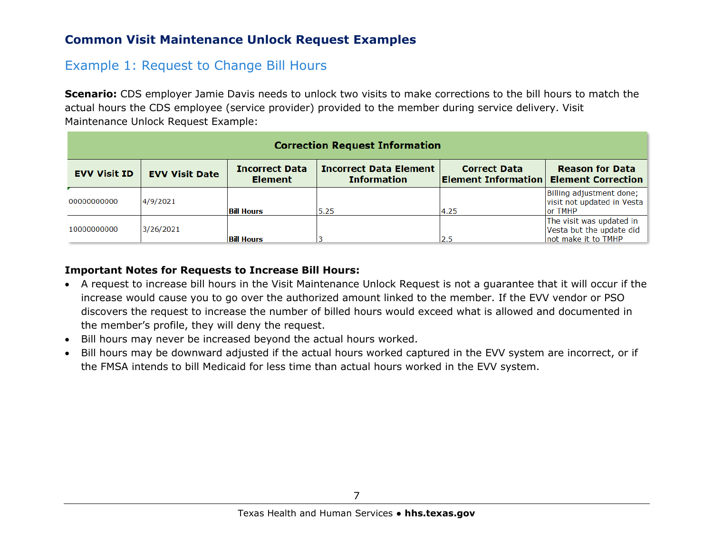#### **Common Visit Maintenance Unlock Request Examples**

## Example 1: Request to Change Bill Hours

**Scenario:** CDS employer Jamie Davis needs to unlock two visits to make corrections to the bill hours to match the actual hours the CDS employee (service provider) provided to the member during service delivery. Visit Maintenance Unlock Request Example:

| <b>Correction Request Information</b> |                       |                                         |                                                     |                                                                      |                                                                             |
|---------------------------------------|-----------------------|-----------------------------------------|-----------------------------------------------------|----------------------------------------------------------------------|-----------------------------------------------------------------------------|
| <b>EVV Visit ID</b>                   | <b>EVV Visit Date</b> | <b>Incorrect Data</b><br><b>Element</b> | <b>Incorrect Data Element</b><br><b>Information</b> | <b>Correct Data</b><br><b>Element Information Element Correction</b> | <b>Reason for Data</b>                                                      |
| 00000000000                           | 4/9/2021              | <b>Bill Hours</b>                       | 5.25                                                | 4.25                                                                 | Billing adjustment done;<br>visit not updated in Vesta<br>or TMHP           |
| 10000000000                           | 3/26/2021             | <b>Bill Hours</b>                       |                                                     | 2.5                                                                  | The visit was updated in<br>Vesta but the update did<br>not make it to TMHP |

#### **Important Notes for Requests to Increase Bill Hours:**

- A request to increase bill hours in the Visit Maintenance Unlock Request is not a guarantee that it will occur if the increase would cause you to go over the authorized amount linked to the member. If the EVV vendor or PSO discovers the request to increase the number of billed hours would exceed what is allowed and documented in the member's profile, they will deny the request.
- Bill hours may never be increased beyond the actual hours worked.
- Bill hours may be downward adjusted if the actual hours worked captured in the EVV system are incorrect, or if the FMSA intends to bill Medicaid for less time than actual hours worked in the EVV system.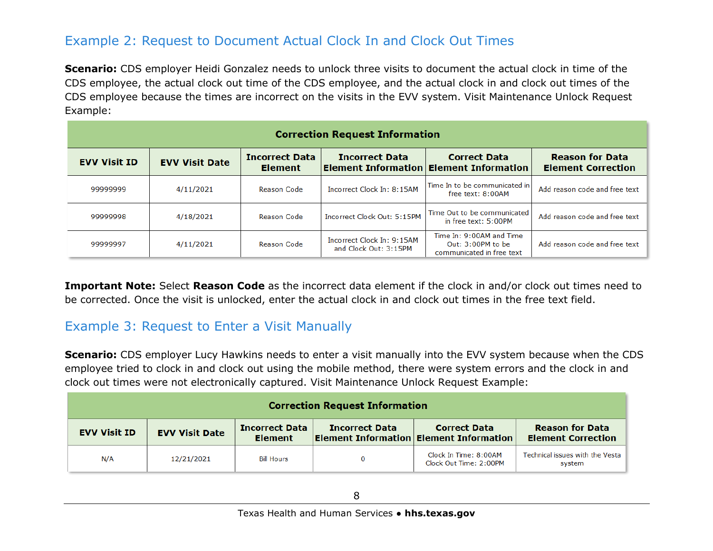## Example 2: Request to Document Actual Clock In and Clock Out Times

**Scenario:** CDS employer Heidi Gonzalez needs to unlock three visits to document the actual clock in time of the CDS employee, the actual clock out time of the CDS employee, and the actual clock in and clock out times of the CDS employee because the times are incorrect on the visits in the EVV system. Visit Maintenance Unlock Request Example:

|                     |                       |                                         | <b>Correction Request Information</b>               |                                                                            |                                                     |
|---------------------|-----------------------|-----------------------------------------|-----------------------------------------------------|----------------------------------------------------------------------------|-----------------------------------------------------|
| <b>EVV Visit ID</b> | <b>EVV Visit Date</b> | <b>Incorrect Data</b><br><b>Element</b> | <b>Incorrect Data</b>                               | <b>Correct Data</b><br><b>Element Information Element Information</b>      | <b>Reason for Data</b><br><b>Element Correction</b> |
| 99999999            | 4/11/2021             | Reason Code                             | Incorrect Clock In: 8:15AM                          | Time In to be communicated in<br>free text: $8:00AM$                       | Add reason code and free text                       |
| 99999998            | 4/18/2021             | Reason Code                             | Incorrect Clock Out: 5:15PM                         | Time Out to be communicated<br>in free text: 5:00PM                        | Add reason code and free text                       |
| 99999997            | 4/11/2021             | Reason Code                             | Incorrect Clock In: 9:15AM<br>and Clock Out: 3:15PM | Time In: 9:00AM and Time<br>Out: 3:00PM to be<br>communicated in free text | Add reason code and free text                       |

**Important Note:** Select **Reason Code** as the incorrect data element if the clock in and/or clock out times need to be corrected. Once the visit is unlocked, enter the actual clock in and clock out times in the free text field.

## Example 3: Request to Enter a Visit Manually

**Scenario:** CDS employer Lucy Hawkins needs to enter a visit manually into the EVV system because when the CDS employee tried to clock in and clock out using the mobile method, there were system errors and the clock in and clock out times were not electronically captured. Visit Maintenance Unlock Request Example:

|                     |                       |                                         | <b>Correction Request Information</b> |                                                                       |                                                     |
|---------------------|-----------------------|-----------------------------------------|---------------------------------------|-----------------------------------------------------------------------|-----------------------------------------------------|
| <b>EVV Visit ID</b> | <b>EVV Visit Date</b> | <b>Incorrect Data</b><br><b>Element</b> | <b>Incorrect Data</b>                 | <b>Correct Data</b><br><b>Element Information Element Information</b> | <b>Reason for Data</b><br><b>Element Correction</b> |
| N/A                 | 12/21/2021            | <b>Bill Hours</b>                       | 0                                     | Clock In Time: 8:00AM<br>Clock Out Time: 2:00PM                       | Technical issues with the Vesta<br>system           |